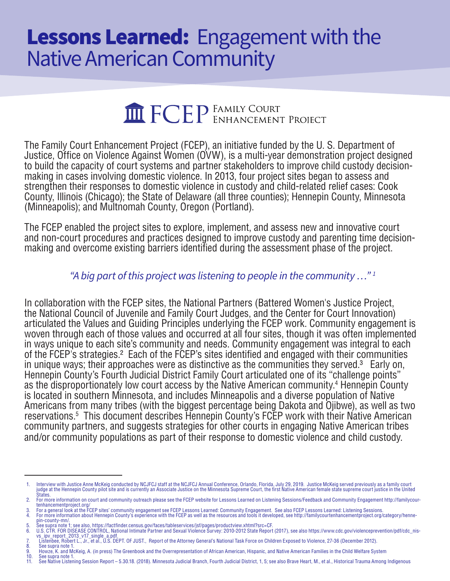## Lessons Learned: Engagement with the Native American Community

# **THE FCEP** FAMILY COURT PROJECT

The Family Court Enhancement Project (FCEP), an initiative funded by the U. S. Department of Justice, Office on Violence Against Women (OVW), is a multi-year demonstration project designed to build the capacity of court systems and partner stakeholders to improve child custody decisionmaking in cases involving domestic violence. In 2013, four project sites began to assess and strengthen their responses to domestic violence in custody and child-related relief cases: Cook County, Illinois (Chicago); the State of Delaware (all three counties); Hennepin County, Minnesota (Minneapolis); and Multnomah County, Oregon (Portland).

The FCEP enabled the project sites to explore, implement, and assess new and innovative court and non-court procedures and practices designed to improve custody and parenting time decisionmaking and overcome existing barriers identified during the assessment phase of the project.

#### *"A big part of this project was listening to people in the community …" 1*

In collaboration with the FCEP sites, the National Partners (Battered Women's Justice Project, the National Council of Juvenile and Family Court Judges, and the Center for Court Innovation) articulated the Values and Guiding Principles underlying the FCEP work. Community engagement is woven through each of those values and occurred at all four sites, though it was often implemented in ways unique to each site's community and needs. Community engagement was integral to each of the FCEP's strategies.2 Each of the FCEP's sites identified and engaged with their communities in unique ways; their approaches were as distinctive as the communities they served.<sup>3</sup> Early on, Hennepin County's Fourth Judicial District Family Court articulated one of its "challenge points" as the disproportionately low court access by the Native American community.<sup>4</sup> Hennepin County is located in southern Minnesota, and includes Minneapolis and a diverse population of Native Americans from many tribes (with the biggest percentage being Dakota and Ojibwe), as well as two reservations.5 This document describes Hennepin County's FCEP work with their Native American community partners, and suggests strategies for other courts in engaging Native American tribes and/or community populations as part of their response to domestic violence and child custody.

8. See supra note<br>9. Howze, K. and N 9. Howze, K. and McKeig, A. (in press) The Greenbook and the Overrepresentation of African American, Hispanic, and Native American Families in the Child Welfare System See supra note 1.

<sup>1.</sup> Interview with Justice Anne McKeig conducted by NCJFCJ staff at the NCJFCJ Annual Conference, Orlando, Florida, July 29, 2019. Justice McKeig served previously as a family court<br>judge at the Hennepin County pilot site States.

<sup>2.</sup> For more information on court and community outreach please see the FCEP website for Lessons Learned on Listening Sessions/Feedback and Community Engagement http://familycour-<br>2. For a general look at the FCEP sites' co

<sup>3.</sup> For a general look at the FCEP sites' community engagement see FCEP Lessons Learned: Community Engagement. See also FCEP Lessons Learned: Listening Sessions.<br>4. For more information about Hennepin County's experience wi

<sup>5.</sup> See supra note 1; see also, https://factfinder.census.gov/faces/tableservices/jsf/pages/productview.xhtml?src=CF. 6. U.S. CTR. FOR DISEASE CONTROL, National Intimate Partner and Sexual Violence Survey: 2010-2012 State Report (2017), see also https://www.cdc.gov/violenceprevention/pdf/cdc\_nis- vs\_ipv\_report\_2013\_v17\_single\_a.pdf. 7. Listenbee, Robert L., Jr., et al., U.S. DEPT. OF JUST., Report of the Attorney General's National Task Force on Children Exposed to Violence, 27-36 (December 2012).

See Native Listening Session Report – 5.30.18. (2018). Minnesota Judicial Branch, Fourth Judicial District, 1, 5; see also Brave Heart, M., et al., Historical Trauma Among Indigenous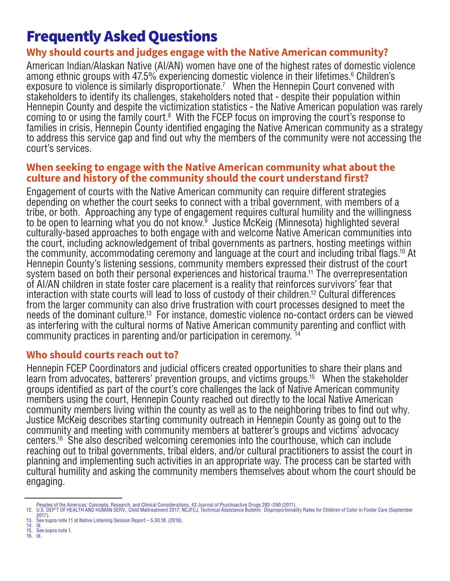### Frequently Asked Questions

#### **Why should courts and judges engage with the Native American community?**

American Indian/Alaskan Native (AI/AN) women have one of the highest rates of domestic violence among ethnic groups with 47.5% experiencing domestic violence in their lifetimes.<sup>6</sup> Children's exposure to violence is similarly disproportionate.<sup>7</sup> When the Hennepin Court convened with stakeholders to identify its challenges, stakeholders noted that - despite their population within Hennepin County and despite the victimization statistics - the Native American population was rarely coming to or using the family court.<sup>8</sup> With the FCEP focus on improving the court's response to families in crisis, Hennepin County identified engaging the Native American community as a strategy to address this service gap and find out why the members of the community were not accessing the court's services.

#### **When seeking to engage with the Native American community what about the culture and history of the community should the court understand first?**

Engagement of courts with the Native American community can require different strategies depending on whether the court seeks to connect with a tribal government, with members of a tribe, or both. Approaching any type of engagement requires cultural humility and the willingness to be open to learning what you do not know.<sup>9</sup> Justice McKeig (Minnesota) highlighted several culturally-based approaches to both engage with and welcome Native American communities into the court, including acknowledgement of tribal governments as partners, hosting meetings within the community, accommodating ceremony and language at the court and including tribal flags.10 At Hennepin County's listening sessions, community members expressed their distrust of the court system based on both their personal experiences and historical trauma.<sup>11</sup> The overrepresentation of AI/AN children in state foster care placement is a reality that reinforces survivors' fear that interaction with state courts will lead to loss of custody of their children.12 Cultural differences from the larger community can also drive frustration with court processes designed to meet the needs of the dominant culture.13 For instance, domestic violence no-contact orders can be viewed as interfering with the cultural norms of Native American community parenting and conflict with community practices in parenting and/or participation in ceremony. 14

#### **Who should courts reach out to?**

Hennepin FCEP Coordinators and judicial officers created opportunities to share their plans and learn from advocates, batterers' prevention groups, and victims groups.15 When the stakeholder groups identified as part of the court's core challenges the lack of Native American community members using the court, Hennepin County reached out directly to the local Native American community members living within the county as well as to the neighboring tribes to find out why. Justice McKeig describes starting community outreach in Hennepin County as going out to the community and meeting with community members at batterer's groups and victims' advocacy centers.16 She also described welcoming ceremonies into the courthouse, which can include reaching out to tribal governments, tribal elders, and/or cultural practitioners to assist the court in planning and implementing such activities in an appropriate way. The process can be started with cultural humility and asking the community members themselves about whom the court should be engaging.

- 14. Id.
- see supra note 1.<br>Id 16. Id.

Peoples of the Americas: Concepts, Research, and Clinical Considerations, 43 Journal of Psychoactive Drugs 282–290 (2011).<br>12. U.S. DEP'T OF HEALTH AND HUMAN SERV., Child Maltreatment 2017; NCJFCJ, Technical Assistance B

<sup>2017).</sup> 13. See supra note 11 at Native Listening Session Report – 5.30.18. (2018).